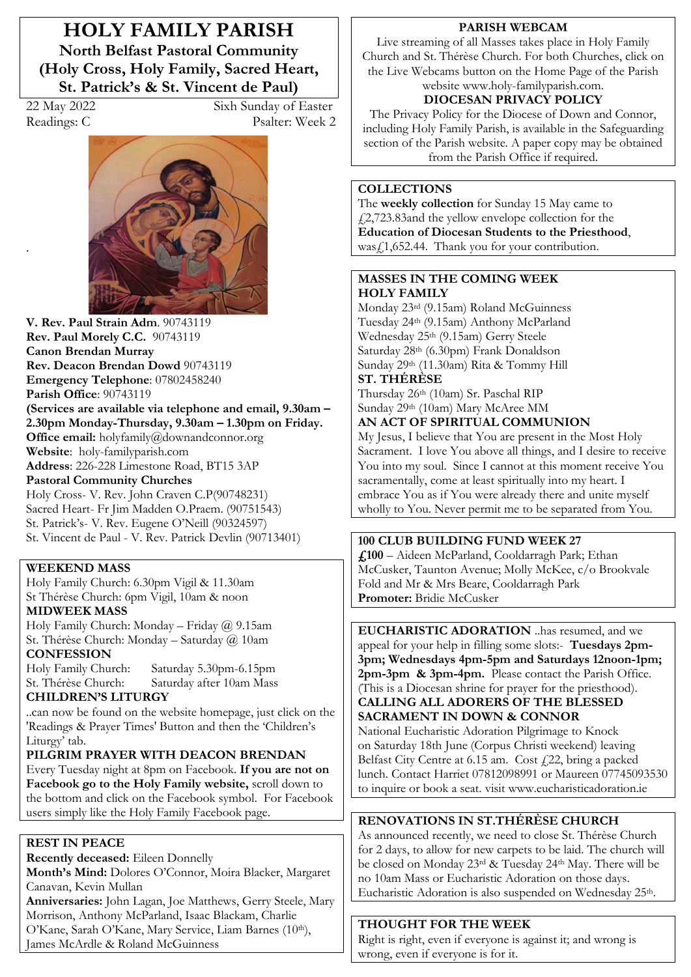**HOLY FAMILY PARISH North Belfast Pastoral Community (Holy Cross, Holy Family, Sacred Heart, St. Patrick's & St. Vincent de Paul)** 

.

22 May 2022 Sixh Sunday of Easter Readings: C Psalter: Week 2



**V. Rev. Paul Strain Adm**. 90743119 **Rev. Paul Morely C.C.** 90743119 **Canon Brendan Murray Rev. Deacon Brendan Dowd** 90743119 **Emergency Telephone**: 07802458240 **Parish Office**: 90743119 **(Services are available via telephone and email, 9.30am –** 2.30pm Monday-Thursday, 9.30am – 1.30pm on Friday. **Office email:** holyfamily@downandconnor.org **Website**: holy-familyparish.com **Address**: 226-228 Limestone Road, BT15 3AP **Pastoral Community Churches**

Holy Cross- V. Rev. John Craven C.P(90748231) Sacred Heart- Fr Jim Madden O.Praem. (90751543) St. Patrick's- V. Rev. Eugene O'Neill (90324597) St. Vincent de Paul - V. Rev. Patrick Devlin (90713401)

#### **WEEKEND MASS**

Holy Family Church: 6.30pm Vigil & 11.30am St Thérèse Church: 6pm Vigil, 10am & noon **MIDWEEK MASS**

Holy Family Church: Monday - Friday  $@$  9.15am St. Thérèse Church: Monday - Saturday @ 10am **CONFESSION**

Holy Family Church: Saturday 5.30pm-6.15pm St. Thérèse Church: Saturday after 10am Mass

# **CHILDREN·S LITURGY**

..can now be found on the website homepage, just click on the 'Readings & Prayer Times' Button and then the 'Children's Liturgy' tab.

#### **PILGRIM PRAYER WITH DEACON BRENDAN**

Every Tuesday night at 8pm on Facebook. **If you are not on Facebook go to the Holy Family website,** scroll down to the bottom and click on the Facebook symbol. For Facebook users simply like the Holy Family Facebook page.

#### **REST IN PEACE**

**Recently deceased:** Eileen Donnelly Month's Mind: Dolores O'Connor, Moira Blacker, Margaret Canavan, Kevin Mullan **Anniversaries:** John Lagan, Joe Matthews, Gerry Steele, Mary Morrison, Anthony McParland, Isaac Blackam, Charlie O'Kane, Sarah O'Kane, Mary Service, Liam Barnes (10th), James McArdle & Roland McGuinness

#### **PARISH WEBCAM**

Live streaming of all Masses takes place in Holy Family Church and St. Thérèse Church. For both Churches, click on the Live Webcams button on the Home Page of the Parish website www.holy-familyparish.com.

# **DIOCESAN PRIVACY POLICY**

The Privacy Policy for the Diocese of Down and Connor, including Holy Family Parish, is available in the Safeguarding section of the Parish website. A paper copy may be obtained from the Parish Office if required.

#### **COLLECTIONS**

The **weekly collection** for Sunday 15 May came to £2,723.83and the yellow envelope collection for the **Education of Diocesan Students to the Priesthood**, was£1,652.44. Thank you for your contribution.

#### **MASSES IN THE COMING WEEK HOLY FAMILY**

Monday 23rd (9.15am) Roland McGuinness Tuesday 24th (9.15am) Anthony McParland Wednesday 25th (9.15am) Gerry Steele Saturday 28th (6.30pm) Frank Donaldson Sunday 29th (11.30am) Rita & Tommy Hill **ST. THÉRÈSE** 

Thursday 26th (10am) Sr. Paschal RIP Sunday 29th (10am) Mary McAree MM

# **AN ACT OF SPIRITUAL COMMUNION**

My Jesus, I believe that You are present in the Most Holy Sacrament. I love You above all things, and I desire to receive You into my soul. Since I cannot at this moment receive You sacramentally, come at least spiritually into my heart. I embrace You as if You were already there and unite myself wholly to You. Never permit me to be separated from You.

# **100 CLUB BUILDING FUND WEEK 27**

£,100 - Aideen McParland, Cooldarragh Park; Ethan McCusker, Taunton Avenue; Molly McKee, c/o Brookvale Fold and Mr & Mrs Beare, Cooldarragh Park **Promoter:** Bridie McCusker

**EUCHARISTIC ADORATION** ..has resumed, and we appeal for your help in filling some slots:- **Tuesdays 2pm-3pm; Wednesdays 4pm-5pm and Saturdays 12noon-1pm; 2pm-3pm & 3pm-4pm.** Please contact the Parish Office. (This is a Diocesan shrine for prayer for the priesthood). **CALLING ALL ADORERS OF THE BLESSED SACRAMENT IN DOWN & CONNOR**

National Eucharistic Adoration Pilgrimage to Knock on Saturday 18th June (Corpus Christi weekend) leaving Belfast City Centre at 6.15 am. Cost £22, bring a packed lunch. Contact Harriet 07812098991 or Maureen 07745093530 to inquire or book a seat. visit www.eucharisticadoration.ie

# **RENOVATIONS IN ST.THÉRÈSE CHURCH**

As announced recently, we need to close St. Thérèse Church for 2 days, to allow for new carpets to be laid. The church will be closed on Monday 23rd & Tuesday 24th May. There will be no 10am Mass or Eucharistic Adoration on those days. Eucharistic Adoration is also suspended on Wednesday 25<sup>th</sup>.

#### **THOUGHT FOR THE WEEK**

Right is right, even if everyone is against it; and wrong is wrong, even if everyone is for it.